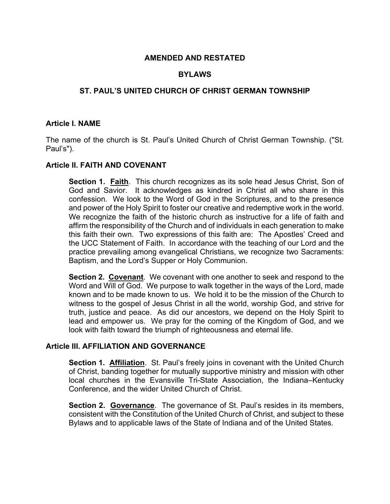### **AMENDED AND RESTATED**

### **BYLAWS**

### **ST. PAUL'S UNITED CHURCH OF CHRIST GERMAN TOWNSHIP**

#### **Article I. NAME**

The name of the church is St. Paul's United Church of Christ German Township. ("St. Paul's").

### **Article II. FAITH AND COVENANT**

**Section 1. Faith**. This church recognizes as its sole head Jesus Christ, Son of God and Savior. It acknowledges as kindred in Christ all who share in this confession. We look to the Word of God in the Scriptures, and to the presence and power of the Holy Spirit to foster our creative and redemptive work in the world. We recognize the faith of the historic church as instructive for a life of faith and affirm the responsibility of the Church and of individuals in each generation to make this faith their own. Two expressions of this faith are: The Apostles' Creed and the UCC Statement of Faith. In accordance with the teaching of our Lord and the practice prevailing among evangelical Christians, we recognize two Sacraments: Baptism, and the Lord's Supper or Holy Communion.

**Section 2. Covenant**. We covenant with one another to seek and respond to the Word and Will of God. We purpose to walk together in the ways of the Lord, made known and to be made known to us. We hold it to be the mission of the Church to witness to the gospel of Jesus Christ in all the world, worship God, and strive for truth, justice and peace. As did our ancestors, we depend on the Holy Spirit to lead and empower us. We pray for the coming of the Kingdom of God, and we look with faith toward the triumph of righteousness and eternal life.

#### **Article III. AFFILIATION AND GOVERNANCE**

**Section 1. Affiliation**. St. Paul's freely joins in covenant with the United Church of Christ, banding together for mutually supportive ministry and mission with other local churches in the Evansville Tri-State Association, the Indiana–Kentucky Conference, and the wider United Church of Christ.

**Section 2. Governance**. The governance of St. Paul's resides in its members, consistent with the Constitution of the United Church of Christ, and subject to these Bylaws and to applicable laws of the State of Indiana and of the United States.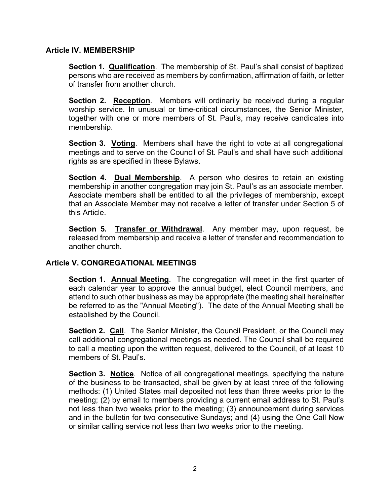### **Article IV. MEMBERSHIP**

**Section 1. Qualification**. The membership of St. Paul's shall consist of baptized persons who are received as members by confirmation, affirmation of faith, or letter of transfer from another church.

**Section 2. Reception**. Members will ordinarily be received during a regular worship service. In unusual or time-critical circumstances, the Senior Minister, together with one or more members of St. Paul's, may receive candidates into membership.

**Section 3. Voting**. Members shall have the right to vote at all congregational meetings and to serve on the Council of St. Paul's and shall have such additional rights as are specified in these Bylaws.

**Section 4. Dual Membership**. A person who desires to retain an existing membership in another congregation may join St. Paul's as an associate member. Associate members shall be entitled to all the privileges of membership, except that an Associate Member may not receive a letter of transfer under Section 5 of this Article.

**Section 5. Transfer or Withdrawal**. Any member may, upon request, be released from membership and receive a letter of transfer and recommendation to another church.

## **Article V. CONGREGATIONAL MEETINGS**

**Section 1. Annual Meeting**. The congregation will meet in the first quarter of each calendar year to approve the annual budget, elect Council members, and attend to such other business as may be appropriate (the meeting shall hereinafter be referred to as the "Annual Meeting"). The date of the Annual Meeting shall be established by the Council.

**Section 2. Call**. The Senior Minister, the Council President, or the Council may call additional congregational meetings as needed. The Council shall be required to call a meeting upon the written request, delivered to the Council, of at least 10 members of St. Paul's.

**Section 3. Notice**. Notice of all congregational meetings, specifying the nature of the business to be transacted, shall be given by at least three of the following methods: (1) United States mail deposited not less than three weeks prior to the meeting; (2) by email to members providing a current email address to St. Paul's not less than two weeks prior to the meeting; (3) announcement during services and in the bulletin for two consecutive Sundays; and (4) using the One Call Now or similar calling service not less than two weeks prior to the meeting.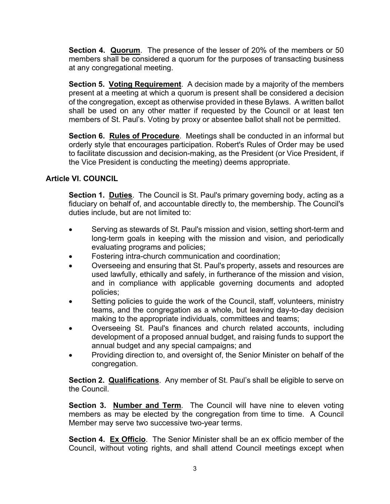**Section 4. Quorum**. The presence of the lesser of 20% of the members or 50 members shall be considered a quorum for the purposes of transacting business at any congregational meeting.

**Section 5. Voting Requirement**. A decision made by a majority of the members present at a meeting at which a quorum is present shall be considered a decision of the congregation, except as otherwise provided in these Bylaws. A written ballot shall be used on any other matter if requested by the Council or at least ten members of St. Paul's. Voting by proxy or absentee ballot shall not be permitted.

**Section 6. Rules of Procedure**. Meetings shall be conducted in an informal but orderly style that encourages participation. Robert's Rules of Order may be used to facilitate discussion and decision-making, as the President (or Vice President, if the Vice President is conducting the meeting) deems appropriate.

# **Article VI. COUNCIL**

**Section 1. Duties**. The Council is St. Paul's primary governing body, acting as a fiduciary on behalf of, and accountable directly to, the membership. The Council's duties include, but are not limited to:

- Serving as stewards of St. Paul's mission and vision, setting short-term and long-term goals in keeping with the mission and vision, and periodically evaluating programs and policies;
- Fostering intra-church communication and coordination;
- Overseeing and ensuring that St. Paul's property, assets and resources are used lawfully, ethically and safely, in furtherance of the mission and vision, and in compliance with applicable governing documents and adopted policies;
- Setting policies to guide the work of the Council, staff, volunteers, ministry teams, and the congregation as a whole, but leaving day-to-day decision making to the appropriate individuals, committees and teams;
- Overseeing St. Paul's finances and church related accounts, including development of a proposed annual budget, and raising funds to support the annual budget and any special campaigns; and
- Providing direction to, and oversight of, the Senior Minister on behalf of the congregation.

**Section 2. Qualifications**. Any member of St. Paul's shall be eligible to serve on the Council.

**Section 3. Number and Term**. The Council will have nine to eleven voting members as may be elected by the congregation from time to time. A Council Member may serve two successive two-year terms.

**Section 4. Ex Officio**. The Senior Minister shall be an ex officio member of the Council, without voting rights, and shall attend Council meetings except when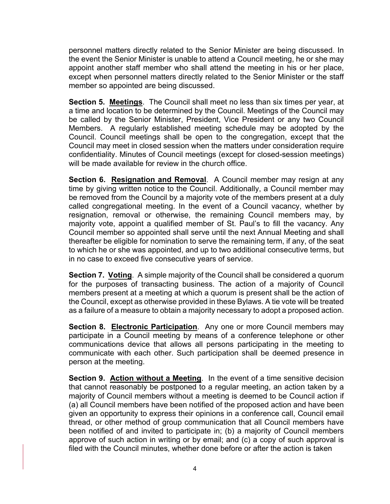personnel matters directly related to the Senior Minister are being discussed. In the event the Senior Minister is unable to attend a Council meeting, he or she may appoint another staff member who shall attend the meeting in his or her place, except when personnel matters directly related to the Senior Minister or the staff member so appointed are being discussed.

**Section 5. Meetings**. The Council shall meet no less than six times per year, at a time and location to be determined by the Council. Meetings of the Council may be called by the Senior Minister, President, Vice President or any two Council Members. A regularly established meeting schedule may be adopted by the Council. Council meetings shall be open to the congregation, except that the Council may meet in closed session when the matters under consideration require confidentiality. Minutes of Council meetings (except for closed-session meetings) will be made available for review in the church office.

**Section 6. Resignation and Removal**. A Council member may resign at any time by giving written notice to the Council. Additionally, a Council member may be removed from the Council by a majority vote of the members present at a duly called congregational meeting. In the event of a Council vacancy, whether by resignation, removal or otherwise, the remaining Council members may, by majority vote, appoint a qualified member of St. Paul's to fill the vacancy. Any Council member so appointed shall serve until the next Annual Meeting and shall thereafter be eligible for nomination to serve the remaining term, if any, of the seat to which he or she was appointed, and up to two additional consecutive terms, but in no case to exceed five consecutive years of service.

**Section 7. Voting**. A simple majority of the Council shall be considered a quorum for the purposes of transacting business. The action of a majority of Council members present at a meeting at which a quorum is present shall be the action of the Council, except as otherwise provided in these Bylaws. A tie vote will be treated as a failure of a measure to obtain a majority necessary to adopt a proposed action.

**Section 8. Electronic Participation**. Any one or more Council members may participate in a Council meeting by means of a conference telephone or other communications device that allows all persons participating in the meeting to communicate with each other. Such participation shall be deemed presence in person at the meeting.

**Section 9. Action without a Meeting**. In the event of a time sensitive decision that cannot reasonably be postponed to a regular meeting, an action taken by a majority of Council members without a meeting is deemed to be Council action if (a) all Council members have been notified of the proposed action and have been given an opportunity to express their opinions in a conference call, Council email thread, or other method of group communication that all Council members have been notified of and invited to participate in; (b) a majority of Council members approve of such action in writing or by email; and (c) a copy of such approval is filed with the Council minutes, whether done before or after the action is taken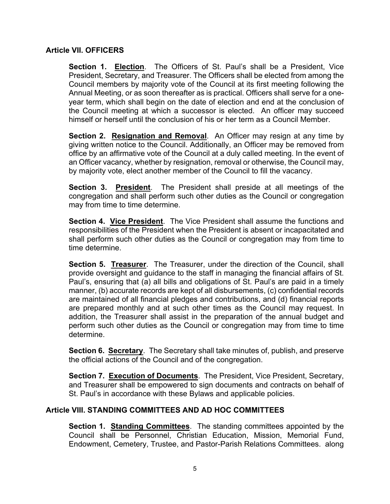## **Article VII. OFFICERS**

**Section 1. Election**.The Officers of St. Paul's shall be a President, Vice President, Secretary, and Treasurer. The Officers shall be elected from among the Council members by majority vote of the Council at its first meeting following the Annual Meeting, or as soon thereafter as is practical. Officers shall serve for a oneyear term, which shall begin on the date of election and end at the conclusion of the Council meeting at which a successor is elected. An officer may succeed himself or herself until the conclusion of his or her term as a Council Member.

**Section 2. Resignation and Removal**. An Officer may resign at any time by giving written notice to the Council. Additionally, an Officer may be removed from office by an affirmative vote of the Council at a duly called meeting. In the event of an Officer vacancy, whether by resignation, removal or otherwise, the Council may, by majority vote, elect another member of the Council to fill the vacancy.

**Section 3. President**. The President shall preside at all meetings of the congregation and shall perform such other duties as the Council or congregation may from time to time determine.

**Section 4. Vice President**. The Vice President shall assume the functions and responsibilities of the President when the President is absent or incapacitated and shall perform such other duties as the Council or congregation may from time to time determine.

**Section 5. Treasurer**. The Treasurer, under the direction of the Council, shall provide oversight and guidance to the staff in managing the financial affairs of St. Paul's, ensuring that (a) all bills and obligations of St. Paul's are paid in a timely manner, (b) accurate records are kept of all disbursements, (c) confidential records are maintained of all financial pledges and contributions, and (d) financial reports are prepared monthly and at such other times as the Council may request. In addition, the Treasurer shall assist in the preparation of the annual budget and perform such other duties as the Council or congregation may from time to time determine.

**Section 6. Secretary**. The Secretary shall take minutes of, publish, and preserve the official actions of the Council and of the congregation.

**Section 7. Execution of Documents**.The President, Vice President, Secretary, and Treasurer shall be empowered to sign documents and contracts on behalf of St. Paul's in accordance with these Bylaws and applicable policies.

# **Article VIII. STANDING COMMITTEES AND AD HOC COMMITTEES**

**Section 1. Standing Committees**. The standing committees appointed by the Council shall be Personnel, Christian Education, Mission, Memorial Fund, Endowment, Cemetery, Trustee, and Pastor-Parish Relations Committees. along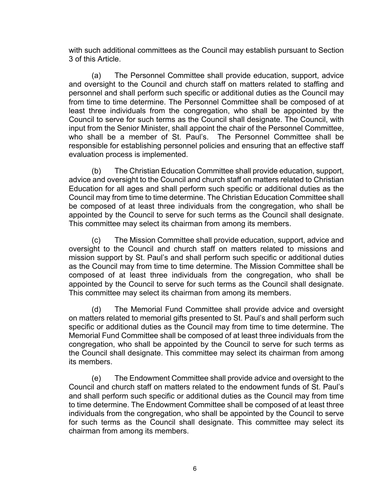with such additional committees as the Council may establish pursuant to Section 3 of this Article.

(a) The Personnel Committee shall provide education, support, advice and oversight to the Council and church staff on matters related to staffing and personnel and shall perform such specific or additional duties as the Council may from time to time determine. The Personnel Committee shall be composed of at least three individuals from the congregation, who shall be appointed by the Council to serve for such terms as the Council shall designate. The Council, with input from the Senior Minister, shall appoint the chair of the Personnel Committee, who shall be a member of St. Paul's. The Personnel Committee shall be responsible for establishing personnel policies and ensuring that an effective staff evaluation process is implemented.

(b) The Christian Education Committee shall provide education, support, advice and oversight to the Council and church staff on matters related to Christian Education for all ages and shall perform such specific or additional duties as the Council may from time to time determine. The Christian Education Committee shall be composed of at least three individuals from the congregation, who shall be appointed by the Council to serve for such terms as the Council shall designate. This committee may select its chairman from among its members.

(c) The Mission Committee shall provide education, support, advice and oversight to the Council and church staff on matters related to missions and mission support by St. Paul's and shall perform such specific or additional duties as the Council may from time to time determine. The Mission Committee shall be composed of at least three individuals from the congregation, who shall be appointed by the Council to serve for such terms as the Council shall designate. This committee may select its chairman from among its members.

(d) The Memorial Fund Committee shall provide advice and oversight on matters related to memorial gifts presented to St. Paul's and shall perform such specific or additional duties as the Council may from time to time determine. The Memorial Fund Committee shall be composed of at least three individuals from the congregation, who shall be appointed by the Council to serve for such terms as the Council shall designate. This committee may select its chairman from among its members.

(e) The Endowment Committee shall provide advice and oversight to the Council and church staff on matters related to the endowment funds of St. Paul's and shall perform such specific or additional duties as the Council may from time to time determine. The Endowment Committee shall be composed of at least three individuals from the congregation, who shall be appointed by the Council to serve for such terms as the Council shall designate. This committee may select its chairman from among its members.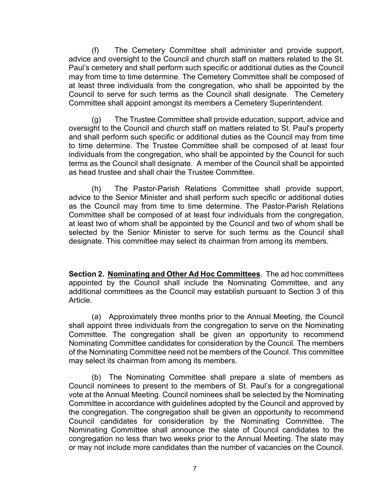(f) The Cemetery Committee shall administer and provide support, advice and oversight to the Council and church staff on matters related to the St. Paul's cemetery and shall perform such specific or additional duties as the Council may from time to time determine. The Cemetery Committee shall be composed of at least three individuals from the congregation, who shall be appointed by the Council to serve for such terms as the Council shall designate. The Cemetery Committee shall appoint amongst its members a Cemetery Superintendent.

(g) The Trustee Committee shall provide education, support, advice and oversight to the Council and church staff on matters related to St. Paul's property and shall perform such specific or additional duties as the Council may from time to time determine. The Trustee Committee shall be composed of at least four individuals from the congregation, who shall be appointed by the Council for such terms as the Council shall designate. A member of the Council shall be appointed as head trustee and shall chair the Trustee Committee.

(h) The Pastor-Parish Relations Committee shall provide support, advice to the Senior Minister and shall perform such specific or additional duties as the Council may from time to time determine. The Pastor-Parish Relations Committee shall be composed of at least four individuals from the congregation, at least two of whom shall be appointed by the Council and two of whom shall be selected by the Senior Minister to serve for such terms as the Council shall designate. This committee may select its chairman from among its members.

**Section 2. Nominating and Other Ad Hoc Committees**. The ad hoc committees appointed by the Council shall include the Nominating Committee, and any additional committees as the Council may establish pursuant to Section 3 of this Article.

(a) Approximately three months prior to the Annual Meeting, the Council shall appoint three individuals from the congregation to serve on the Nominating Committee. The congregation shall be given an opportunity to recommend Nominating Committee candidates for consideration by the Council. The members of the Nominating Committee need not be members of the Council. This committee may select its chairman from among its members.

(b) The Nominating Committee shall prepare a slate of members as Council nominees to present to the members of St. Paul's for a congregational vote at the Annual Meeting. Council nominees shall be selected by the Nominating Committee in accordance with guidelines adopted by the Council and approved by the congregation. The congregation shall be given an opportunity to recommend Council candidates for consideration by the Nominating Committee. The Nominating Committee shall announce the slate of Council candidates to the congregation no less than two weeks prior to the Annual Meeting. The slate may or may not include more candidates than the number of vacancies on the Council.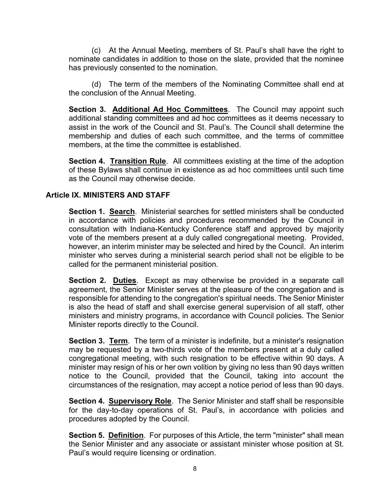(c) At the Annual Meeting, members of St. Paul's shall have the right to nominate candidates in addition to those on the slate, provided that the nominee has previously consented to the nomination.

(d) The term of the members of the Nominating Committee shall end at the conclusion of the Annual Meeting.

**Section 3. Additional Ad Hoc Committees**. The Council may appoint such additional standing committees and ad hoc committees as it deems necessary to assist in the work of the Council and St. Paul's. The Council shall determine the membership and duties of each such committee, and the terms of committee members, at the time the committee is established.

**Section 4. Transition Rule**. All committees existing at the time of the adoption of these Bylaws shall continue in existence as ad hoc committees until such time as the Council may otherwise decide.

## **Article IX. MINISTERS AND STAFF**

**Section 1. Search**. Ministerial searches for settled ministers shall be conducted in accordance with policies and procedures recommended by the Council in consultation with Indiana-Kentucky Conference staff and approved by majority vote of the members present at a duly called congregational meeting. Provided, however, an interim minister may be selected and hired by the Council. An interim minister who serves during a ministerial search period shall not be eligible to be called for the permanent ministerial position.

**Section 2. Duties**. Except as may otherwise be provided in a separate call agreement, the Senior Minister serves at the pleasure of the congregation and is responsible for attending to the congregation's spiritual needs. The Senior Minister is also the head of staff and shall exercise general supervision of all staff, other ministers and ministry programs, in accordance with Council policies. The Senior Minister reports directly to the Council.

**Section 3. Term**. The term of a minister is indefinite, but a minister's resignation may be requested by a two-thirds vote of the members present at a duly called congregational meeting, with such resignation to be effective within 90 days. A minister may resign of his or her own volition by giving no less than 90 days written notice to the Council, provided that the Council, taking into account the circumstances of the resignation, may accept a notice period of less than 90 days.

**Section 4. Supervisory Role**. The Senior Minister and staff shall be responsible for the day-to-day operations of St. Paul's, in accordance with policies and procedures adopted by the Council.

**Section 5. Definition**. For purposes of this Article, the term "minister" shall mean the Senior Minister and any associate or assistant minister whose position at St. Paul's would require licensing or ordination.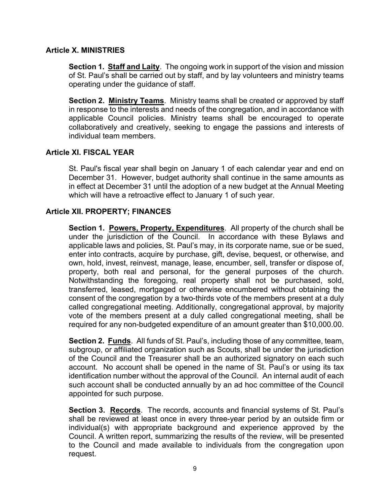### **Article X. MINISTRIES**

**Section 1. Staff and Laity**. The ongoing work in support of the vision and mission of St. Paul's shall be carried out by staff, and by lay volunteers and ministry teams operating under the guidance of staff.

**Section 2. Ministry Teams**. Ministry teams shall be created or approved by staff in response to the interests and needs of the congregation, and in accordance with applicable Council policies. Ministry teams shall be encouraged to operate collaboratively and creatively, seeking to engage the passions and interests of individual team members.

## **Article XI. FISCAL YEAR**

St. Paul's fiscal year shall begin on January 1 of each calendar year and end on December 31. However, budget authority shall continue in the same amounts as in effect at December 31 until the adoption of a new budget at the Annual Meeting which will have a retroactive effect to January 1 of such year.

### **Article XII. PROPERTY; FINANCES**

**Section 1. Powers, Property, Expenditures**. All property of the church shall be under the jurisdiction of the Council. In accordance with these Bylaws and applicable laws and policies, St. Paul's may, in its corporate name, sue or be sued, enter into contracts, acquire by purchase, gift, devise, bequest, or otherwise, and own, hold, invest, reinvest, manage, lease, encumber, sell, transfer or dispose of, property, both real and personal, for the general purposes of the church. Notwithstanding the foregoing, real property shall not be purchased, sold, transferred, leased, mortgaged or otherwise encumbered without obtaining the consent of the congregation by a two-thirds vote of the members present at a duly called congregational meeting. Additionally, congregational approval, by majority vote of the members present at a duly called congregational meeting, shall be required for any non-budgeted expenditure of an amount greater than \$10,000.00.

**Section 2. Funds**.All funds of St. Paul's, including those of any committee, team, subgroup, or affiliated organization such as Scouts, shall be under the jurisdiction of the Council and the Treasurer shall be an authorized signatory on each such account. No account shall be opened in the name of St. Paul's or using its tax identification number without the approval of the Council. An internal audit of each such account shall be conducted annually by an ad hoc committee of the Council appointed for such purpose.

**Section 3. Records**. The records, accounts and financial systems of St. Paul's shall be reviewed at least once in every three-year period by an outside firm or individual(s) with appropriate background and experience approved by the Council. A written report, summarizing the results of the review, will be presented to the Council and made available to individuals from the congregation upon request.